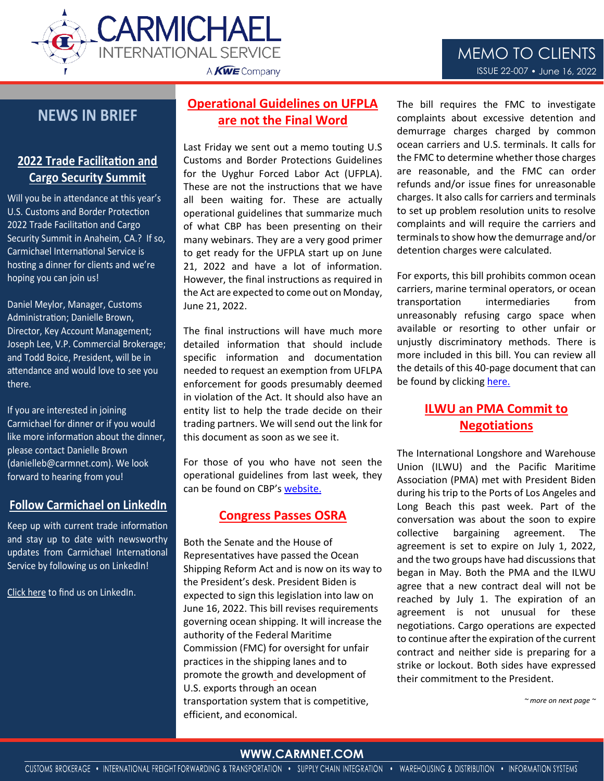

# **NEWS IN BRIEF**

## **2022 Trade Facilitation and Cargo Security Summit**

Will you be in attendance at this year's U.S. Customs and Border Protection 2022 Trade Facilitation and Cargo Security Summit in Anaheim, CA.? If so, Carmichael International Service is hosting a dinner for clients and we're hoping you can join us!

Daniel Meylor, Manager, Customs Administration; Danielle Brown, Director, Key Account Management; Joseph Lee, V.P. Commercial Brokerage; and Todd Boice, President, will be in attendance and would love to see you there.

If you are interested in joining Carmichael for dinner or if you would like more information about the dinner, please contact Danielle Brown (danielleb@carmnet.com). We look forward to hearing from you!

#### **Follow Carmichael on LinkedIn**

Keep up with current trade information and stay up to date with newsworthy updates from Carmichael International Service by following us on LinkedIn!

[Click here](https://www.linkedin.com/company/carmichael-international-service/) to find us on LinkedIn.

# **Operational Guidelines on UFPLA are not the Final Word**

Last Friday we sent out a memo touting U.S Customs and Border Protections Guidelines for the Uyghur Forced Labor Act (UFPLA). These are not the instructions that we have all been waiting for. These are actually operational guidelines that summarize much of what CBP has been presenting on their many webinars. They are a very good primer to get ready for the UFPLA start up on June 21, 2022 and have a lot of information. However, the final instructions as required in the Act are expected to come out on Monday, June 21, 2022.

The final instructions will have much more detailed information that should include specific information and documentation needed to request an exemption from UFLPA enforcement for goods presumably deemed in violation of the Act. It should also have an entity list to help the trade decide on their trading partners. We will send out the link for this document as soon as we see it.

For those of you who have not seen the operational guidelines from last week, they can be found on CBP's [website.](https://www.cbp.gov/document/guidance/uflpa-operational-guidance-importers)

#### **Congress Passes OSRA**

Both the Senate and the House of Representatives have passed the Ocean Shipping Reform Act and is now on its way to the President's desk. President Biden is expected to sign this legislation into law on June 16, 2022. This bill revises requirements governing ocean shipping. It will increase the authority of the Federal Maritime Commission (FMC) for oversight for unfair practices in the shipping lanes and to promote the growth and development of U.S. exports through an ocean transportation system that is competitive, efficient, and economical.

The bill requires the FMC to investigate complaints about excessive detention and demurrage charges charged by common ocean carriers and U.S. terminals. It calls for the FMC to determine whether those charges are reasonable, and the FMC can order refunds and/or issue fines for unreasonable charges. It also calls for carriers and terminals to set up problem resolution units to resolve complaints and will require the carriers and terminals to show how the demurrage and/or detention charges were calculated.

For exports, this bill prohibits common ocean carriers, marine terminal operators, or ocean transportation intermediaries from unreasonably refusing cargo space when available or resorting to other unfair or unjustly discriminatory methods. There is more included in this bill. You can review all the details of this 40-page document that can be found by clickin[g here.](https://www.congress.gov/117/bills/s3580/BILLS-117s3580es.pdf)

## **ILWU an PMA Commit to Negotiations**

The International Longshore and Warehouse Union (ILWU) and the Pacific Maritime Association (PMA) met with President Biden during his trip to the Ports of Los Angeles and Long Beach this past week. Part of the conversation was about the soon to expire collective bargaining agreement. The agreement is set to expire on July 1, 2022, and the two groups have had discussions that began in May. Both the PMA and the ILWU agree that a new contract deal will not be reached by July 1. The expiration of an agreement is not unusual for these negotiations. Cargo operations are expected to continue after the expiration of the current contract and neither side is preparing for a strike or lockout. Both sides have expressed their commitment to the President.

*~ more on next page ~*

#### WWW.CARMENT.COOM **WWW.CARMNET.COM**